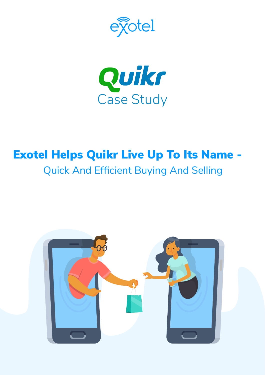



# Exotel Helps Quikr Live Up To Its Name - Quick And Efficient Buying And Selling

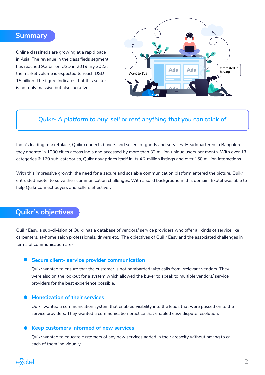#### **Summary**

Online classifieds are growing at a rapid pace in Asia. The revenue in the classifieds segment has reached 9.3 billion USD in 2019. By 2023, the market volume is expected to reach USD 15 billion. The figure indicates that this sector is not only massive but also lucrative.



#### *Quikr- A platform to buy, sell or rent anything that you can think of*

India's leading marketplace, Quikr connects buyers and sellers of goods and services. Headquartered in Bangalore, they operate in 1000 cities across India and accessed by more than 32 million unique users per month. With over 13 categories & 170 sub-categories, Quikr now prides itself in its 4.2 million listings and over 150 million interactions.

With this impressive growth, the need for a secure and scalable communication platform entered the picture. Quikr entrusted Exotel to solve their communication challenges. With a solid background in this domain, Exotel was able to help Quikr connect buyers and sellers effectively.

#### **Quikr's objectives**

Quikr Easy, a sub-division of Quikr has a database of vendors/ service providers who offer all kinds of service like carpenters, at-home salon professionals, drivers etc. The objectives of Quikr Easy and the associated challenges in terms of communication are-

#### **• Secure client- service provider communication**

Quikr wanted to ensure that the customer is not bombarded with calls from irrelevant vendors. They were also on the lookout for a system which allowed the buyer to speak to multiple vendors/ service providers for the best experience possible.

#### **Monetization of their services**

Quikr wanted a communication system that enabled visibility into the leads that were passed on to the service providers. They wanted a communication practice that enabled easy dispute resolution.

#### **Keep customers informed of new services**

Quikr wanted to educate customers of any new services added in their area/city without having to call each of them individually.

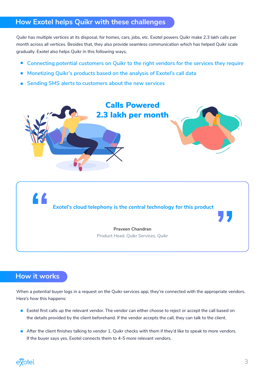## **How Exotel helps Quikr with these challenges**

Quikr has multiple vertices at its disposal, for homes, cars, jobs, etc. Exotel powers Quikr make 2.3 lakh calls per month across all vertices. Besides that, they also provide seamless communication which has helped Quikr scale gradually. Exotel also helps Quikr in this following ways,

- **Connecting potential customers on Quikr to the right vendors for the services they require**  $\bullet$
- **Monetizing Quikr's products based on the analysis of Exotel's call data**
- **Sending SMS alerts to customers about the new services**



**Exotel's cloud telephony is the central technology for this product**

**Praveen Chandran** Product Head, Quikr Services, Quikr

## **How it works**

L L

When a potential buyer logs in a request on the Quikr services app, they're connected with the appropriate vendors. Here's how this happens:

- Exotel first calls up the relevant vendor. The vendor can either choose to reject or accept the call based on the details provided by the client beforehand. If the vendor accepts the call, they can talk to the client.
- After the client finishes talking to vendor 1, Quikr checks with them if they'd like to speak to more vendors. If the buyer says yes, Exotel connects them to 4-5 more relevant vendors.

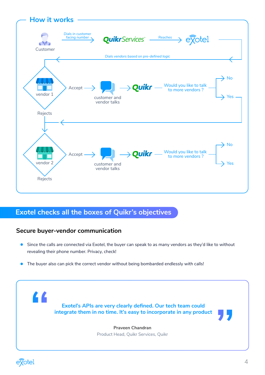

# **Exotel checks all the boxes of Quikr's objectives**

## **Secure buyer-vendor communication**

- Since the calls are connected via Exotel, the buyer can speak to as many vendors as they'd like to without  $\bullet$ revealing their phone number. Privacy, check!
- $\bullet$ The buyer also can pick the correct vendor without being bombarded endlessly with calls!

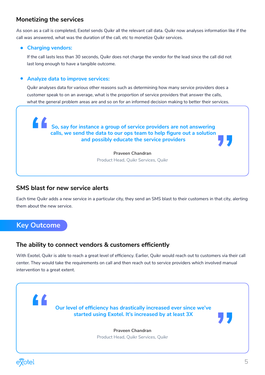## **Monetizing the services**

As soon as a call is completed, Exotel sends Quikr all the relevant call data. Quikr now analyses information like if the call was answered, what was the duration of the call, etc to monetize Quikr services.

#### **Charging vendors:**

If the call lasts less than 30 seconds, Quikr does not charge the vendor for the lead since the call did not last long enough to have a tangible outcome.

#### **Analyze data to improve services:**

Quikr analyses data for various other reasons such as determining how many service providers does a customer speak to on an average, what is the proportion of service providers that answer the calls, what the general problem areas are and so on for an informed decision making to better their services.

**So, say for instance a group of service providers are not answering calls, we send the data to our ops team to help figure out a solution and possibly educate the service providers**

#### **Praveen Chandran** Product Head, Quikr Services, Quikr

#### **SMS blast for new service alerts**

Each time Quikr adds a new service in a particular city, they send an SMS blast to their customers in that city, alerting them about the new service.

## **Key Outcome**

#### **The ability to connect vendors & customers efficiently**

With Exotel, Quikr is able to reach a great level of efficiency. Earlier, Quikr would reach out to customers via their call center. They would take the requirements on call and then reach out to service providers which involved manual intervention to a great extent.